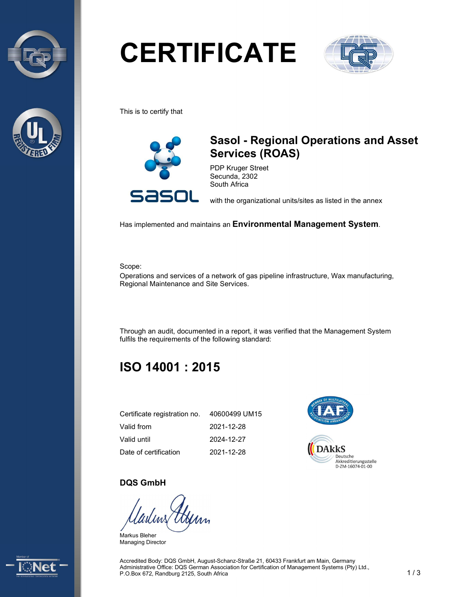



# **CERTIFICATE**



This is to certify that



## Sasol - Regional Operations and Asset Services (ROAS)

PDP Kruger Street Secunda, 2302 South Africa

with the organizational units/sites as listed in the annex

Has implemented and maintains an Environmental Management System.

Scope:

Operations and services of a network of gas pipeline infrastructure, Wax manufacturing, Regional Maintenance and Site Services.

Through an audit, documented in a report, it was verified that the Management System fulfils the requirements of the following standard:

## ISO 14001 : 2015

| Certificate registration no. | 40600499 UM15 |
|------------------------------|---------------|
| Valid from                   | 2021-12-28    |
| Valid until                  | 2024-12-27    |
| Date of certification        | 2021-12-28    |



#### DQS GmbH

Markus Bleher Managing Director



Accredited Body: DQS GmbH, August-Schanz-Straße 21, 60433 Frankfurt am Main, Germany Administrative Office: DQS German Association for Certification of Management Systems (Pty) Ltd., P.O.Box 672, Randburg 2125, South Africa 1 1 3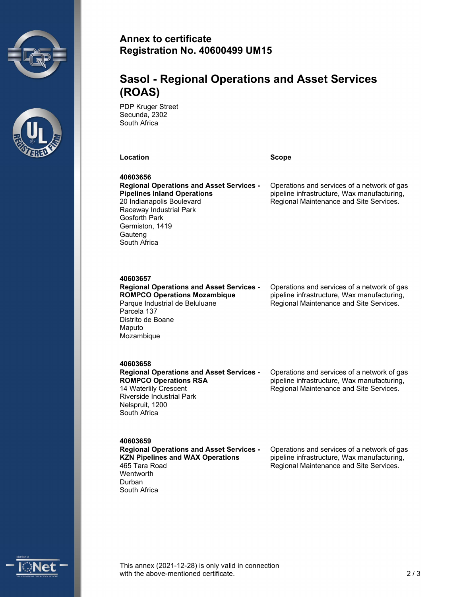



#### Annex to certificate Registration No. 40600499 UM15

### Sasol - Regional Operations and Asset Services (ROAS)

PDP Kruger Street Secunda, 2302 South Africa

Location **Scope** Scope **Scope** 

40603656 Regional Operations and Asset Services - Pipelines Inland Operations 20 Indianapolis Boulevard Raceway Industrial Park Gosforth Park Germiston, 1419 **Gauteng** South Africa

Operations and services of a network of gas pipeline infrastructure, Wax manufacturing, Regional Maintenance and Site Services.

#### 40603657

Regional Operations and Asset Services - ROMPCO Operations Mozambique Parque Industrial de Beluluane Parcela 137 Distrito de Boane Maputo Mozambique

Operations and services of a network of gas pipeline infrastructure, Wax manufacturing, Regional Maintenance and Site Services.

#### 40603658

Regional Operations and Asset Services - ROMPCO Operations RSA 14 Waterlily Crescent Riverside Industrial Park Nelspruit, 1200 South Africa

Operations and services of a network of gas pipeline infrastructure, Wax manufacturing, Regional Maintenance and Site Services.

40603659

Regional Operations and Asset Services - KZN Pipelines and WAX Operations 465 Tara Road **Wentworth** Durban South Africa

Operations and services of a network of gas pipeline infrastructure, Wax manufacturing, Regional Maintenance and Site Services.



This annex (2021-12-28) is only valid in connection with the above-mentioned certificate. 2.2 a and 2.2 a  $\sim$  2.2 a  $\sim$  2.2 a  $\sim$  2.2 a  $\sim$  2.2 a  $\sim$  2.2 a  $\sim$  2.2 a  $\sim$  2.2 a  $\sim$  2.2 a  $\sim$  2.2 a  $\sim$  2.2 a  $\sim$  2.2 a  $\sim$  2.2 a  $\sim$  2.2 a  $\sim$  2.2 a  $\sim$  2.2 a  $\sim$